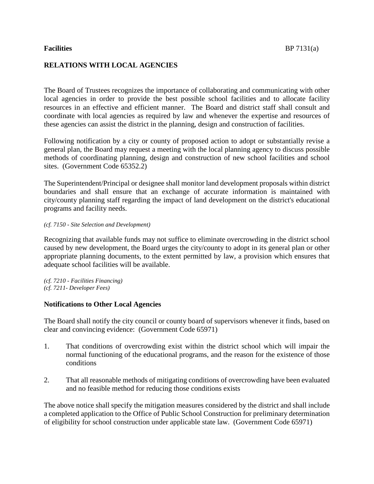The Board of Trustees recognizes the importance of collaborating and communicating with other local agencies in order to provide the best possible school facilities and to allocate facility resources in an effective and efficient manner. The Board and district staff shall consult and coordinate with local agencies as required by law and whenever the expertise and resources of these agencies can assist the district in the planning, design and construction of facilities.

Following notification by a city or county of proposed action to adopt or substantially revise a general plan, the Board may request a meeting with the local planning agency to discuss possible methods of coordinating planning, design and construction of new school facilities and school sites. (Government Code 65352.2)

The Superintendent/Principal or designee shall monitor land development proposals within district boundaries and shall ensure that an exchange of accurate information is maintained with city/county planning staff regarding the impact of land development on the district's educational programs and facility needs.

## *(cf. 7150 - Site Selection and Development)*

Recognizing that available funds may not suffice to eliminate overcrowding in the district school caused by new development, the Board urges the city/county to adopt in its general plan or other appropriate planning documents, to the extent permitted by law, a provision which ensures that adequate school facilities will be available.

*(cf. 7210 - Facilities Financing) (cf. 7211- Developer Fees)*

## **Notifications to Other Local Agencies**

The Board shall notify the city council or county board of supervisors whenever it finds, based on clear and convincing evidence: (Government Code 65971)

- 1. That conditions of overcrowding exist within the district school which will impair the normal functioning of the educational programs, and the reason for the existence of those conditions
- 2. That all reasonable methods of mitigating conditions of overcrowding have been evaluated and no feasible method for reducing those conditions exists

The above notice shall specify the mitigation measures considered by the district and shall include a completed application to the Office of Public School Construction for preliminary determination of eligibility for school construction under applicable state law. (Government Code 65971)